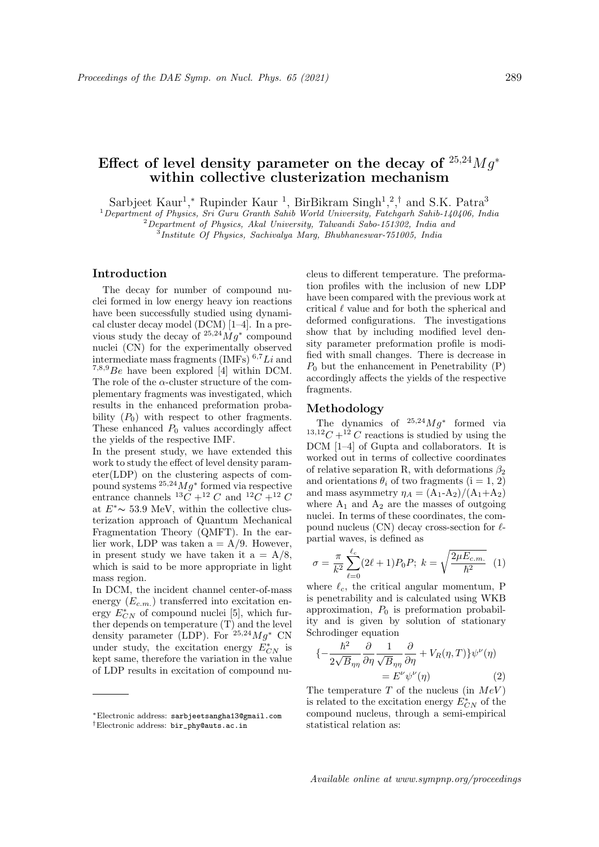# Effect of level density parameter on the decay of  $25,24Mg^*$ within collective clusterization mechanism

Sarbjeet Kaur<sup>1</sup>,\* Rupinder Kaur<sup>1</sup>, BirBikram Singh<sup>1</sup>,<sup>2</sup>,<sup>†</sup> and S.K. Patra<sup>3</sup>

 $1$ Department of Physics, Sri Guru Granth Sahib World University, Fatehgarh Sahib-140406, India

<sup>2</sup>Department of Physics, Akal University, Talwandi Sabo-151302, India and

 ${}^{3}$ Institute Of Physics, Sachivalya Marg, Bhubhaneswar-751005, India

## Introduction

The decay for number of compound nuclei formed in low energy heavy ion reactions have been successfully studied using dynamical cluster decay model (DCM) [1–4]. In a previous study the decay of  $25.24Mg^*$  compound nuclei (CN) for the experimentally observed intermediate mass fragments (IMFs)  $6.7Li$  and  $7,8,9$  Be have been explored [4] within DCM. The role of the  $\alpha$ -cluster structure of the complementary fragments was investigated, which results in the enhanced preformation probability  $(P_0)$  with respect to other fragments. These enhanced  $P_0$  values accordingly affect the yields of the respective IMF.

In the present study, we have extended this work to study the effect of level density parameter(LDP) on the clustering aspects of compound systems  $25,24Mg^*$  formed via respective entrance channels  ${}^{13}C + {}^{12}C$  and  ${}^{12}C + {}^{12}C$ at  $E^*$  ∼ 53.9 MeV, within the collective clusterization approach of Quantum Mechanical Fragmentation Theory (QMFT). In the earlier work, LDP was taken  $a = A/9$ . However, in present study we have taken it  $a = A/8$ , which is said to be more appropriate in light mass region.

In DCM, the incident channel center-of-mass energy  $(E_{c.m.})$  transferred into excitation energy  $E_{CN}^*$  of compound nuclei [5], which further depends on temperature (T) and the level density parameter (LDP). For  $^{25,24}Mq^*$  CN under study, the excitation energy  $E^*_{CN}$  is kept same, therefore the variation in the value of LDP results in excitation of compound nucleus to different temperature. The preformation profiles with the inclusion of new LDP have been compared with the previous work at critical  $\ell$  value and for both the spherical and deformed configurations. The investigations show that by including modified level density parameter preformation profile is modified with small changes. There is decrease in  $P_0$  but the enhancement in Penetrability  $(P)$ accordingly affects the yields of the respective fragments.

#### Methodology

The dynamics of  $25.24Mg^*$  formed via <sup>13,12</sup>C +<sup>12</sup> C reactions is studied by using the DCM [1–4] of Gupta and collaborators. It is worked out in terms of collective coordinates of relative separation R, with deformations  $\beta_2$ and orientations  $\theta_i$  of two fragments (i = 1, 2) and mass asymmetry  $\eta_A = (A_1 - A_2)/(A_1 + A_2)$ where  $A_1$  and  $A_2$  are the masses of outgoing nuclei. In terms of these coordinates, the compound nucleus  $(CN)$  decay cross-section for  $\ell$ partial waves, is defined as

$$
\sigma = \frac{\pi}{k^2} \sum_{\ell=0}^{\ell_c} (2\ell+1) P_0 P; \ k = \sqrt{\frac{2\mu E_{c.m.}}{\hbar^2}} \tag{1}
$$

where  $\ell_c$ , the critical angular momentum, P is penetrability and is calculated using WKB approximation,  $P_0$  is preformation probability and is given by solution of stationary Schrodinger equation

$$
\begin{aligned} \{-\frac{\hbar^2}{2\sqrt{B}_{\eta\eta}}\frac{\partial}{\partial\eta}\frac{1}{\sqrt{B}_{\eta\eta}}\frac{\partial}{\partial\eta} + V_R(\eta, T)\}\psi^\nu(\eta) \\ &= E^\nu\psi^\nu(\eta) \end{aligned} \tag{2}
$$

The temperature  $T$  of the nucleus (in  $MeV$ ) is related to the excitation energy  $E^*_{CN}$  of the compound nucleus, through a semi-empirical statistical relation as:

Available online at www.sympnp.org/proceedings

<sup>∗</sup>Electronic address: sarbjeetsangha13@gmail.com †Electronic address: bir\_phy@auts.ac.in